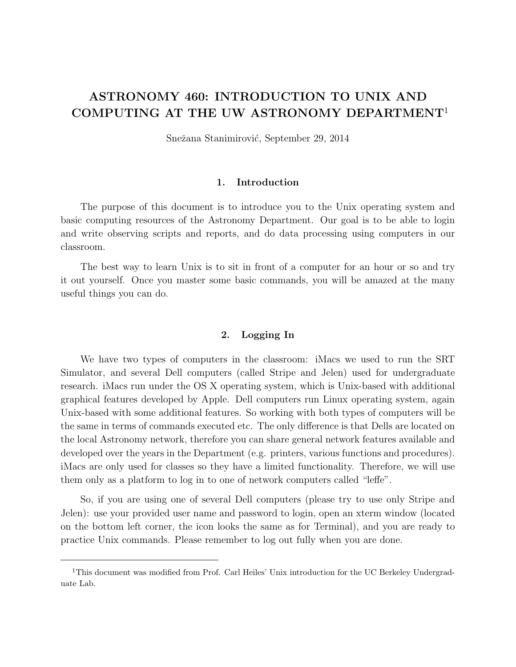# ASTRONOMY 460: INTRODUCTION TO UNIX AND COMPUTING AT THE UW ASTRONOMY DEPARTMENT<sup>1</sup>

Snežana Stanimirović, September 29, 2014

#### 1. Introduction

The purpose of this document is to introduce you to the Unix operating system and basic computing resources of the Astronomy Department. Our goal is to be able to login and write observing scripts and reports, and do data processing using computers in our classroom.

The best way to learn Unix is to sit in front of a computer for an hour or so and try it out yourself. Once you master some basic commands, you will be amazed at the many useful things you can do.

#### 2. Logging In

We have two types of computers in the classroom: iMacs we used to run the SRT Simulator, and several Dell computers (called Stripe and Jelen) used for undergraduate research. iMacs run under the OS X operating system, which is Unix-based with additional graphical features developed by Apple. Dell computers run Linux operating system, again Unix-based with some additional features. So working with both types of computers will be the same in terms of commands executed etc. The only difference is that Dells are located on the local Astronomy network, therefore you can share general network features available and developed over the years in the Department (e.g. printers, various functions and procedures). iMacs are only used for classes so they have a limited functionality. Therefore, we will use them only as a platform to log in to one of network computers called "leffe".

So, if you are using one of several Dell computers (please try to use only Stripe and Jelen): use your provided user name and password to login, open an xterm window (located on the bottom left corner, the icon looks the same as for Terminal), and you are ready to practice Unix commands. Please remember to log out fully when you are done.

<sup>&</sup>lt;sup>1</sup>This document was modified from Prof. Carl Heiles' Unix introduction for the UC Berkeley Undergraduate Lab.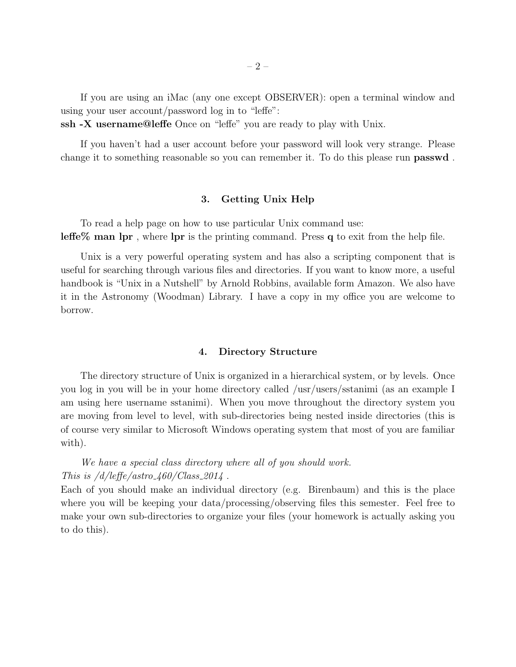If you are using an iMac (any one except OBSERVER): open a terminal window and using your user account/password log in to "leffe":

ssh -X username@leffe Once on "leffe" you are ready to play with Unix.

If you haven't had a user account before your password will look very strange. Please change it to something reasonable so you can remember it. To do this please run passwd .

#### 3. Getting Unix Help

To read a help page on how to use particular Unix command use: **leffe% man lpr**, where **lpr** is the printing command. Press  $q$  to exit from the help file.

Unix is a very powerful operating system and has also a scripting component that is useful for searching through various files and directories. If you want to know more, a useful handbook is "Unix in a Nutshell" by Arnold Robbins, available form Amazon. We also have it in the Astronomy (Woodman) Library. I have a copy in my office you are welcome to borrow.

#### 4. Directory Structure

The directory structure of Unix is organized in a hierarchical system, or by levels. Once you log in you will be in your home directory called /usr/users/sstanimi (as an example I am using here username sstanimi). When you move throughout the directory system you are moving from level to level, with sub-directories being nested inside directories (this is of course very similar to Microsoft Windows operating system that most of you are familiar with).

We have a special class directory where all of you should work. This is  $/d/lefte$  for  $\frac{460}{Class2014}$ .

Each of you should make an individual directory (e.g. Birenbaum) and this is the place where you will be keeping your data/processing/observing files this semester. Feel free to make your own sub-directories to organize your files (your homework is actually asking you to do this).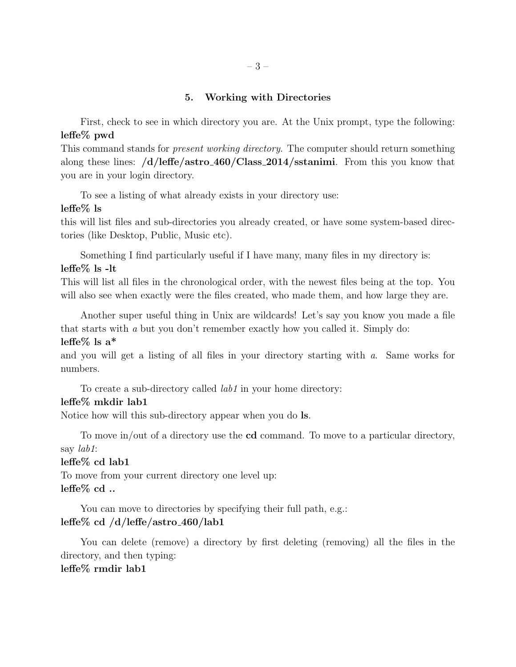# 5. Working with Directories

First, check to see in which directory you are. At the Unix prompt, type the following: leffe% pwd

This command stands for *present working directory*. The computer should return something along these lines: /d/leffe/astro 460/Class 2014/sstanimi. From this you know that you are in your login directory.

To see a listing of what already exists in your directory use:

## leffe% ls

this will list files and sub-directories you already created, or have some system-based directories (like Desktop, Public, Music etc).

Something I find particularly useful if I have many, many files in my directory is: leffe% ls -lt

This will list all files in the chronological order, with the newest files being at the top. You will also see when exactly were the files created, who made them, and how large they are.

Another super useful thing in Unix are wildcards! Let's say you know you made a file that starts with a but you don't remember exactly how you called it. Simply do:

## leffe $%$  ls a<sup>\*</sup>

and you will get a listing of all files in your directory starting with a. Same works for numbers.

To create a sub-directory called *lab1* in your home directory:

## leffe% mkdir lab1

Notice how will this sub-directory appear when you do ls.

To move in/out of a directory use the cd command. To move to a particular directory, say lab1:

## leffe% cd lab1

To move from your current directory one level up:  $lefte\%$  cd ..

You can move to directories by specifying their full path, e.g.: leffe% cd /d/leffe/astro 460/lab1

You can delete (remove) a directory by first deleting (removing) all the files in the directory, and then typing:

# leffe% rmdir lab1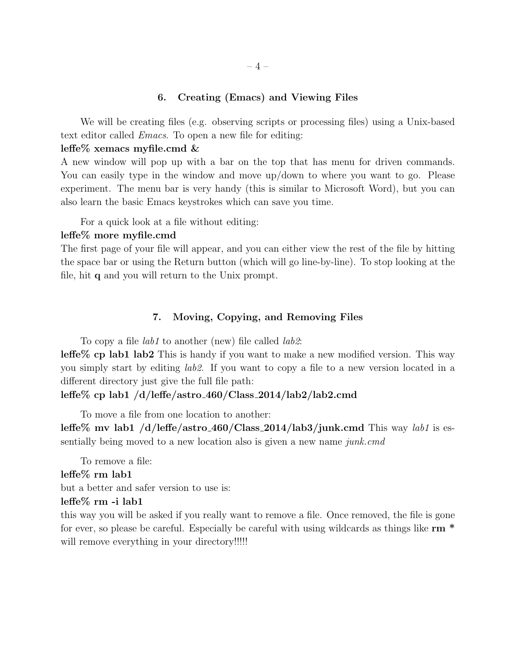### 6. Creating (Emacs) and Viewing Files

We will be creating files (e.g. observing scripts or processing files) using a Unix-based text editor called Emacs. To open a new file for editing:

#### leffe% xemacs myfile.cmd &

A new window will pop up with a bar on the top that has menu for driven commands. You can easily type in the window and move up/down to where you want to go. Please experiment. The menu bar is very handy (this is similar to Microsoft Word), but you can also learn the basic Emacs keystrokes which can save you time.

For a quick look at a file without editing:

## leffe% more myfile.cmd

The first page of your file will appear, and you can either view the rest of the file by hitting the space bar or using the Return button (which will go line-by-line). To stop looking at the file, hit q and you will return to the Unix prompt.

### 7. Moving, Copying, and Removing Files

To copy a file *lab1* to another (new) file called *lab2*:

leffe% cp lab1 lab2 This is handy if you want to make a new modified version. This way you simply start by editing lab2. If you want to copy a file to a new version located in a different directory just give the full file path:

#### leffe% cp lab1 /d/leffe/astro 460/Class 2014/lab2/lab2.cmd

To move a file from one location to another:

leffe% mv lab1 /d/leffe/astro 460/Class 2014/lab3/junk.cmd This way *lab1* is essentially being moved to a new location also is given a new name junk.cmd

To remove a file:

#### leffe% rm lab1

but a better and safer version to use is:

## leffe% rm -i lab1

this way you will be asked if you really want to remove a file. Once removed, the file is gone for ever, so please be careful. Especially be careful with using wildcards as things like  $rm^*$ will remove everything in your directory!!!!!